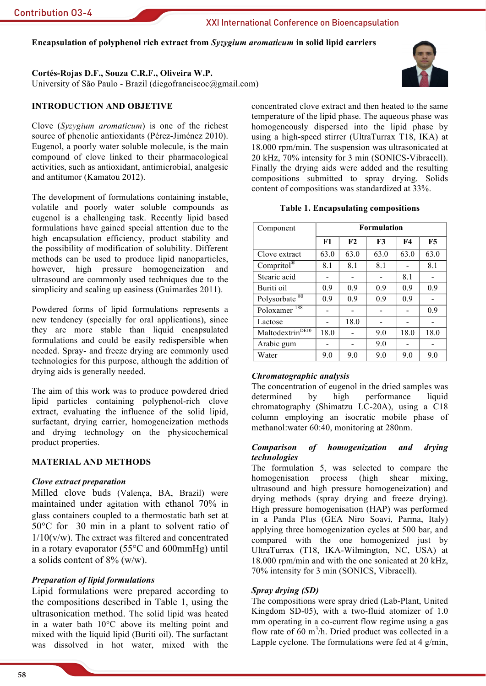Encapsulation of polyphenol rich extract from Syzygium aromaticum in solid lipid carriers

# Cortés-Rojas D.F., Souza C.R.F., Oliveira W.P.

University of São Paulo - Brazil (diegofranciscoc@gmail.com)

# **INTRODUCTION AND OBJETIVE**

Clove  $(Syzyzium$  aromaticum) is one of the richest source of phenolic antioxidants (Pérez-Jiménez 2010). Eugenol, a poorly water soluble molecule, is the main compound of clove linked to their pharmacological activities, such as antioxidant, antimicrobial, analgesic and antitumor (Kamatou 2012).

The development of formulations containing instable. volatile and poorly water soluble compounds as eugenol is a challenging task. Recently lipid based formulations have gained special attention due to the high encapsulation efficiency, product stability and the possibility of modification of solubility. Different methods can be used to produce lipid nanoparticles, however, high pressure homogeneization and ultrasound are commonly used techniques due to the simplicity and scaling up easiness (Guimarães 2011).

Powdered forms of lipid formulations represents a new tendency (specially for oral applications), since they are more stable than liquid encapsulated formulations and could be easily redispersible when needed. Spray- and freeze drying are commonly used technologies for this purpose, although the addition of drying aids is generally needed.

The aim of this work was to produce powdered dried lipid particles containing polyphenol-rich clove extract, evaluating the influence of the solid lipid, surfactant, drying carrier, homogeneization methods and drying technology on the physicochemical product properties.

## **MATERIAL AND METHODS**

## Clove extract preparation

Milled clove buds (Valença, BA, Brazil) were maintained under agitation with ethanol 70% in glass containers coupled to a thermostatic bath set at  $50^{\circ}$ C for 30 min in a plant to solvent ratio of  $1/10(v/w)$ . The extract was filtered and concentrated in a rotary evaporator  $(55^{\circ}$ C and  $600$ mmHg) until a solids content of  $8\%$  (w/w).

# **Preparation of lipid formulations**

Lipid formulations were prepared according to the compositions described in Table 1, using the ultrasonication method. The solid lipid was heated in a water bath 10°C above its melting point and mixed with the liquid lipid (Buriti oil). The surfactant was dissolved in hot water, mixed with the

concentrated clove extract and then heated to the same temperature of the lipid phase. The aqueous phase was homogeneously dispersed into the lipid phase by using a high-speed stirrer (UltraTurrax T18, IKA) at 18.000 rpm/min. The suspension was ultrasonicated at 20 kHz, 70% intensity for 3 min (SONICS-Vibracell). Finally the drying aids were added and the resulting compositions submitted to spray drying. Solids content of compositions was standardized at 33%.

#### **Table 1. Encapsulating compositions**

| Component                    | <b>Formulation</b> |      |      |           |      |
|------------------------------|--------------------|------|------|-----------|------|
|                              | F1                 | F2   | F3   | <b>F4</b> | F5   |
| Clove extract                | 63.0               | 63.0 | 63.0 | 63.0      | 63.0 |
| Compritol <sup>®</sup>       | 8.1                | 8.1  | 8.1  |           | 8.1  |
| Stearic acid                 |                    |      |      | 8.1       |      |
| Buriti oil                   | 0.9                | 0.9  | 0.9  | 0.9       | 0.9  |
| Polysorbate <sup>80</sup>    | 0.9                | 0.9  | 0.9  | 0.9       |      |
| 188<br>Poloxamer             |                    |      |      |           | 0.9  |
| Lactose                      |                    | 18.0 |      |           |      |
| Maltodextrin <sup>DE10</sup> | 18.0               |      | 9.0  | 18.0      | 18.0 |
| Arabic gum                   |                    |      | 9.0  |           |      |
| Water                        | 9.0                | 9.0  | 9.0  | 9.0       | 9.0  |

## Chromatographic analysis

The concentration of eugenol in the dried samples was high performance determined by liquid chromatography (Shimatzu LC-20A), using a C18 column employing an isocratic mobile phase of methanol: water 60:40, monitoring at 280nm.

#### **Comparison** of homogenization and drying technologies

The formulation 5, was selected to compare the homogenisation process (high shear mixing ultrasound and high pressure homogeneization) and drying methods (spray drying and freeze drying). High pressure homogenisation (HAP) was performed in a Panda Plus (GEA Niro Soavi, Parma, Italy) applying three homogenization cycles at 500 bar, and compared with the one homogenized just by UltraTurrax (T18, IKA-Wilmington, NC, USA) at 18,000 rpm/min and with the one sonicated at 20 kHz. 70% intensity for 3 min (SONICS, Vibracell).

## Spray drying (SD)

The compositions were spray dried (Lab-Plant, United Kingdom SD-05), with a two-fluid atomizer of 1.0 mm operating in a co-current flow regime using a gas flow rate of 60  $m^3/h$ . Dried product was collected in a Lapple cyclone. The formulations were fed at 4  $g/min$ .